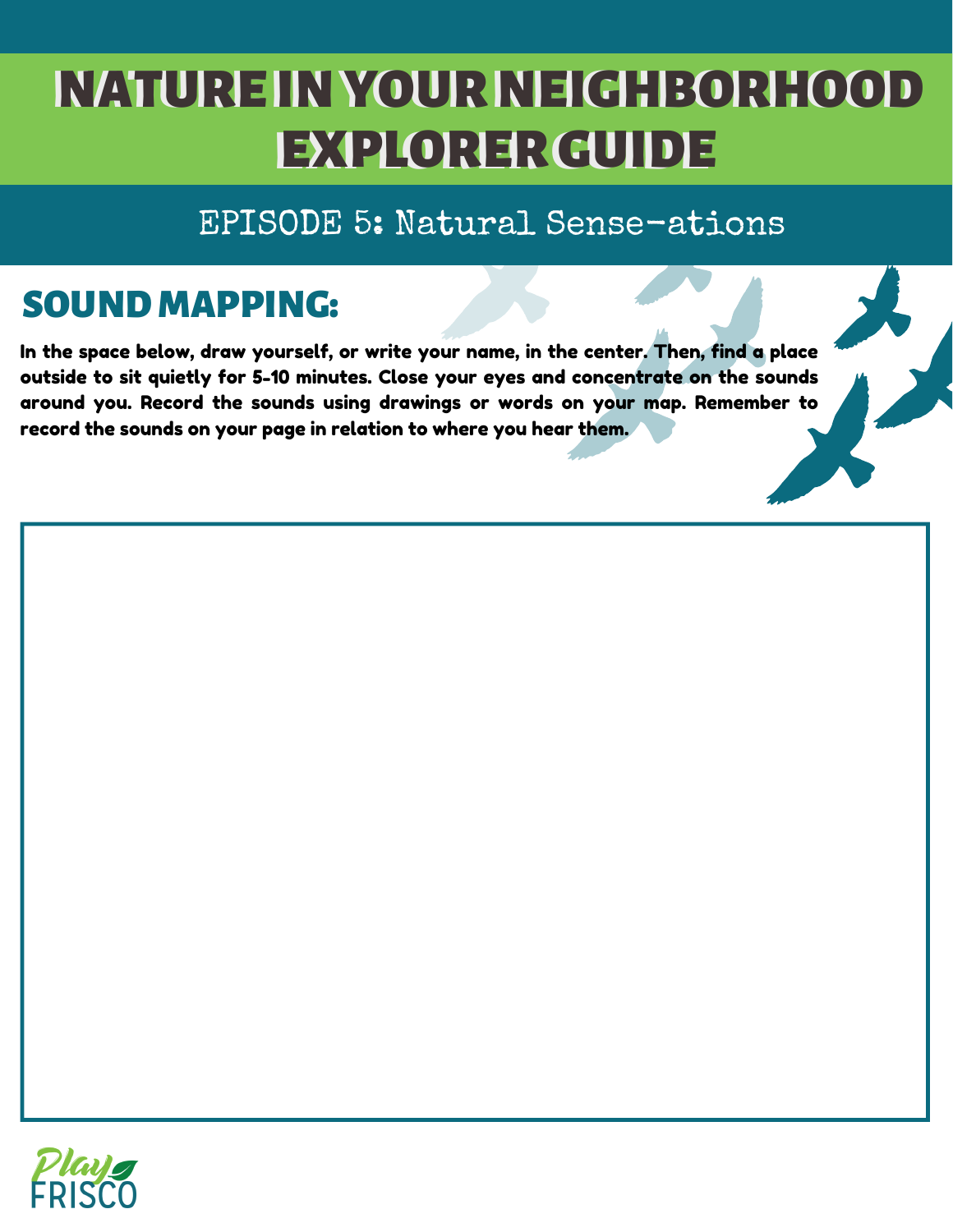## NATURE IN YOUR NEIGHBORHOOD EXPLORER GUIDE

### EPISODE 5: Natural Sense-ations

## SOUND MAPPING:

In the space below, draw yourself, or write your name, in the center. Then, find a place outside to sit quietly for 5-10 minutes. Close your eyes and concentrate on the sounds around you. Record the sounds using drawings or words on your map. Remember to record the sounds on your page in relation to where you hear them.

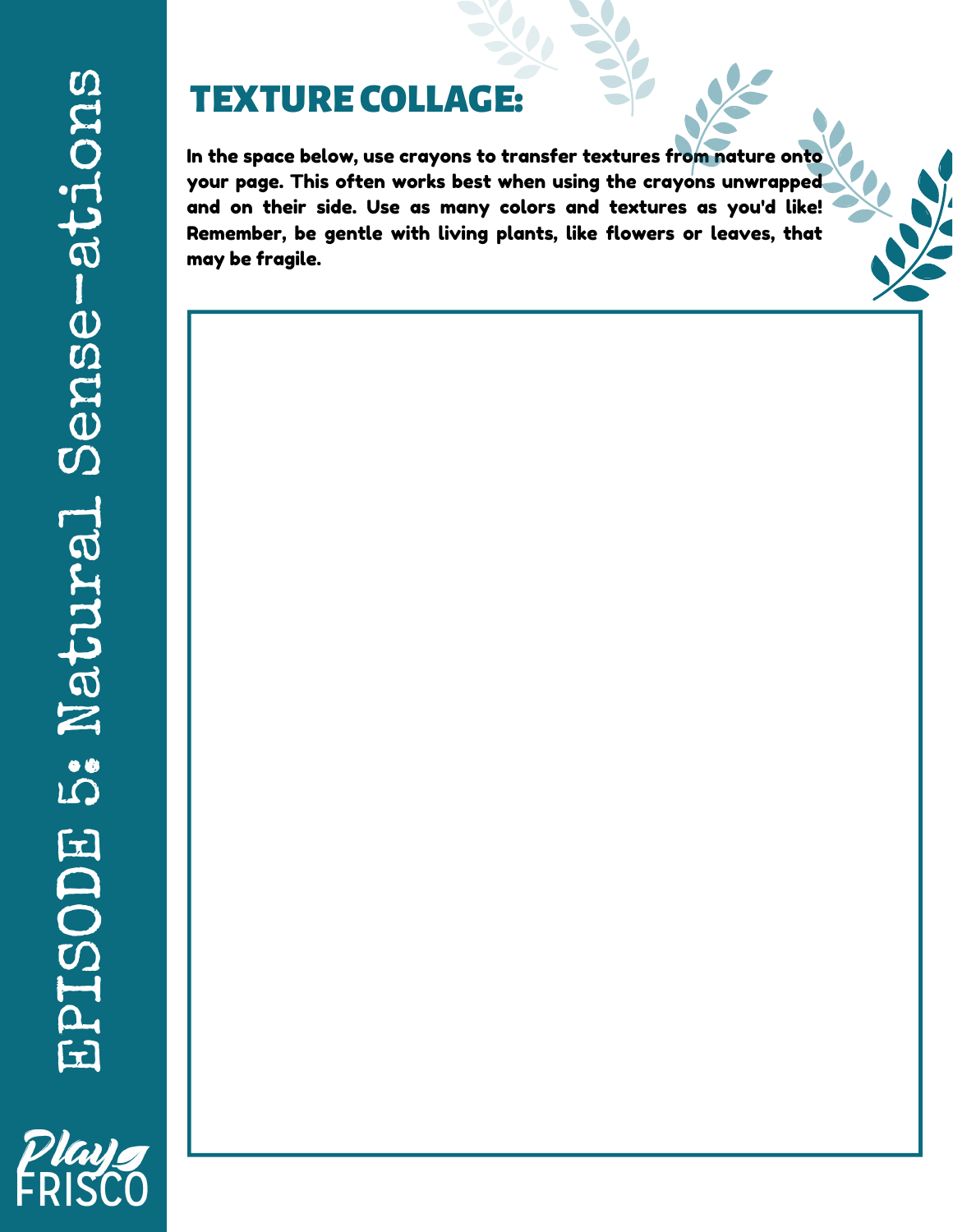## TEXTURECOLLAGE:

In the space below, use crayons to transfer textures from nature onto your page. This often works best when using the crayons unwrapped and on their side. Use as many colors and textures as you'd like! Remember, be gentle with living plants, like flowers or leaves, that may be fragile.